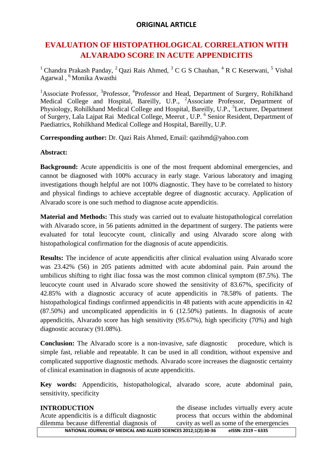### **ORIGINAL ARTICLE**

# **EVALUATION OF HISTOPATHOLOGICAL CORRELATION WITH ALVARADO SCORE IN ACUTE APPENDICITIS**

<sup>1</sup> Chandra Prakash Panday, <sup>2</sup> Qazi Rais Ahmed, <sup>3</sup> C G S Chauhan, <sup>4</sup> R C Keserwani, <sup>5</sup> Vishal Agarwal , <sup>6</sup> Monika Awasthi

<sup>1</sup> Associate Professor, <sup>3</sup> Professor, <sup>4</sup> Professor and Head, Department of Surgery, Rohilkhand Medical College and Hospital, Bareilly, U.P., <sup>2</sup>Associate Professor, Department of Physiology, Rohilkhand Medical College and Hospital, Bareilly, U.P., <sup>5</sup>Lecturer, Department of Surgery, Lala Lajpat Rai Medical College, Meerut, U.P. <sup>6</sup> Senior Resident, Department of Paediatrics, Rohilkhand Medical College and Hospital, Bareilly, U.P.

**Corresponding author:** Dr. Qazi Rais Ahmed, Email: qazihmd@yahoo.com

#### **Abstract:**

**Background:** Acute appendicitis is one of the most frequent abdominal emergencies, and cannot be diagnosed with 100% accuracy in early stage. Various laboratory and imaging investigations though helpful are not 100% diagnostic. They have to be correlated to history and physical findings to achieve acceptable degree of diagnostic accuracy. Application of Alvarado score is one such method to diagnose acute appendicitis.

**Material and Methods:** This study was carried out to evaluate histopathological correlation with Alvarado score, in 56 patients admitted in the department of surgery. The patients were evaluated for total leucocyte count, clinically and using Alvarado score along with histopathological confirmation for the diagnosis of acute appendicitis.

**Results:** The incidence of acute appendicitis after clinical evaluation using Alvarado score was 23.42% (56) in 205 patients admitted with acute abdominal pain. Pain around the umbilicus shifting to right iliac fossa was the most common clinical symptom (87.5%). The leucocyte count used in Alvarado score showed the sensitivity of 83.67%, specificity of 42.85% with a diagnostic accuracy of acute appendicitis in 78.58% of patients. The histopathological findings confirmed appendicitis in 48 patients with acute appendicitis in 42 (87.50%) and uncomplicated appendicitis in 6 (12.50%) patients. In diagnosis of acute appendicitis, Alvarado score has high sensitivity (95.67%), high specificity (70%) and high diagnostic accuracy (91.08%).

**Conclusion:** The Alvarado score is a non-invasive, safe diagnostic procedure, which is simple fast, reliable and repeatable. It can be used in all condition, without expensive and complicated supportive diagnostic methods. Alvarado score increases the diagnostic certainty of clinical examination in diagnosis of acute appendicitis.

**Key words:** Appendicitis, histopathological, alvarado score, acute abdominal pain, sensitivity, specificity

| <b>INTRODUCTION</b>                                                                   | the disease includes virtually every acute |  |  |
|---------------------------------------------------------------------------------------|--------------------------------------------|--|--|
| Acute appendicitis is a difficult diagnostic                                          | process that occurs within the abdominal   |  |  |
| dilemma because differential diagnosis of                                             | cavity as well as some of the emergencies  |  |  |
| NATIONAL JOURNAL OF MEDICAL AND ALLIED SCIENCES 2012;1(2):30-36<br>elSSN: 2319 - 6335 |                                            |  |  |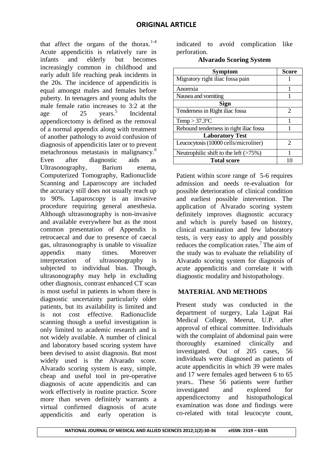that affect the organs of the thorax.<sup>1-4</sup> Acute appendicitis is relatively rare in infants and elderly but becomes increasingly common in childhood and early adult life reaching peak incidents in the 20s. The incidence of appendicitis is equal amongst males and females before puberty. In teenagers and young adults the male female ratio increases to 3:2 at the age of  $25$  years.<sup>5</sup> Incidental appendicectomy is defined as the removal of a normal appendix along with treatment of another pathology to avoid confusion of diagnosis of appendicitis later or to prevent metachronous metastasis in malignancy.<sup>6</sup> Even after diagnostic aids as Ultrasonography, Barium enema, Computerized Tomography, Radionuclide Scanning and Laparoscopy are included the accuracy still does not usually reach up to 90%. Laparoscopy is an invasive procedure requiring general anesthesia. Although ultrasonography is non-invasive and available everywhere but as the most common presentation of Appendix is retrocaecal and due to presence of caecal gas, ultrasonography is unable to visualize appendix many times. Moreover interpretation of ultrasonography is subjected to individual bias. Though, ultrasonography may help in excluding other diagnosis, contrast enhanced CT scan is most useful in patients in whom there is diagnostic uncertainty particularly older patients, but its availability is limited and is not cost effective. Radionuclide scanning though a useful investigation is only limited to academic research and is not widely available. A number of clinical and laboratory based scoring system have been devised to assist diagnosis. But most widely used is the Alvarado score. Alvarado scoring system is easy, simple, cheap and useful tool in pre-operative diagnosis of acute appendicitis and can work effectively in routine practice. Score more than seven definitely warrants a virtual confirmed diagnosis of acute appendicitis and early operation is

indicated to avoid complication like perforation.

| <b>Alvarado Scoring System</b> |  |  |
|--------------------------------|--|--|
|--------------------------------|--|--|

| <b>Symptom</b>                           | <b>Score</b>  |
|------------------------------------------|---------------|
| Migratory right iliac fossa pain         |               |
| Anorexia                                 |               |
| Nausea and vomiting                      |               |
| Sign                                     |               |
| Tenderness in Right iliac fossa          | $\mathcal{D}$ |
| Temp $> 37.3$ °C                         |               |
| Rebound tenderness in right iliac fossa  |               |
| <b>Laboratory Test</b>                   |               |
| Leucocytosis (10000 cells/microliter)    | 2             |
| Neutrophilic shift to the left $($ >75%) |               |
| <b>Total score</b>                       |               |

Patient within score range of 5-6 requires admission and needs re-evaluation for possible deterioration of clinical condition and earliest possible intervention. The application of Alvarado scoring system definitely improves diagnostic accuracy and which is purely based on history, clinical examination and few laboratory tests, is very easy to apply and possibly reduces the complication rates. $<sup>7</sup>$  The aim of</sup> the study was to evaluate the reliability of Alvarado scoring system for diagnosis of acute appendicitis and correlate it with diagnostic modality and histopathology.

#### **MATERIAL AND METHODS**

Present study was conducted in the department of surgery, Lala Lajpat Rai Medical College, Meerut, U.P. after approval of ethical committee. Individuals with the complaint of abdominal pain were thoroughly examined clinically and investigated. Out of 205 cases, 56 individuals were diagnosed as patients of acute appendicitis in which 39 were males and 17 were females aged between 6 to 65 years.. These 56 patients were further investigated and explored for appendicectomy and histopathological examination was done and findings were co-related with total leucocyte count,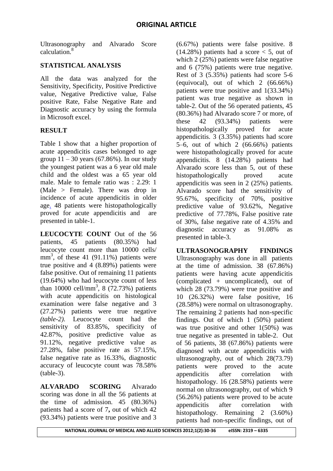Ultrasonography and Alvarado Score calculation.<sup>8</sup>

### **STATISTICAL ANALYSIS**

All the data was analyzed for the Sensitivity, Specificity, Positive Predictive value, Negative Predictive value, False positive Rate, False Negative Rate and Diagnostic accuracy by using the formula in Microsoft excel.

# **RESULT**

Table 1 show that a higher proportion of acute appendicitis cases belonged to age group  $11 - 30$  years (67.86%). In our study the youngest patient was a 6 year old male child and the oldest was a 65 year old male. Male to female ratio was : 2.29: 1 (Male > Female). There was drop in incidence of acute appendicitis in older age. 48 patients were histopathologically proved for acute appendicitis and are presented in table-1.

**LEUCOCYTE COUNT** Out of the 56 patients, 45 patients (80.35%) had leucocyte count more than 10000 cells/ mm<sup>3</sup>, of these 41 (91.11%) patients were true positive and 4 (8.89%) patients were false positive. Out of remaining 11 patients (19.64%) who had leucocyte count of less than  $10000 \text{ cell/mm}^3$ , 8 (72.73%) patients with acute appendicitis on histological examination were false negative and 3 (27.27%) patients were true negative *(table-2)*. Leucocyte count had the sensitivity of 83.85%, specificity of 42.87%, positive predictive value as 91.12%, negative predictive value as 27.28%, false positive rate as 57.15%, false negative rate as 16.33%, diagnostic accuracy of leucocyte count was 78.58% (table-3).

**ALVARADO SCORING** Alvarado scoring was done in all the 56 patients at the time of admission. 45 (80.36%) patients had a score of 7**,** out of which 42 (93.34%) patients were true positive and 3

(6.67%) patients were false positive. 8  $(14.28\%)$  patients had a score  $\lt$  5, out of which  $2(25%)$  patients were false negative and 6 (75%) patients were true negative. Rest of 3 (5.35%) patients had score 5-6 (equivocal), out of which 2 (66.66%) patients were true positive and 1(33.34%) patient was true negative as shown in table-2. Out of the 56 operated patients, 45 (80.36%) had Alvarado score 7 or more, of these 42 (93.34%) patients were histopathologically proved for acute appendicitis. 3 (3.35%) patients had score 5–6, out of which 2 (66.66%) patients were histopathologically proved for acute appendicitis. 8 (14.28%) patients had Alvarado score less than 5, out of these histopathologically proved acute appendicitis was seen in 2 (25%) patients. Alvarado score had the sensitivity of 95.67%, specificity of 70%, positive predictive value of 93.62%, Negative predictive of 77.78%, False positive rate of 30%, false negative rate of 4.35% and diagnostic accuracy as 91.08% as presented in table-3.

**ULTRASONOGRAPHY FINDINGS** Ultrasonography was done in all patients at the time of admission. 38 (67.86%) patients were having acute appendicitis (complicated + uncomplicated), out of which 28 (73.79%) were true positive and 10 (26.32%) were false positive, 16 (28.58%) were normal on ultrasonography. The remaining 2 patients had non-specific findings. Out of which 1 (50%) patient was true positive and other 1(50%) was true negative as presented in table-2. Out of 56 patients, 38 (67.86%) patients were diagnosed with acute appendicitis with ultrasonography, out of which 28(73.79) patients were proved to the acute appendicitis after correlation with histopathology. 16 (28.58%) patients were normal on ultrasonography, out of which 9 (56.26%) patients were proved to be acute appendicitis after correlation with histopathology. Remaining 2 (3.60%) patients had non-specific findings, out of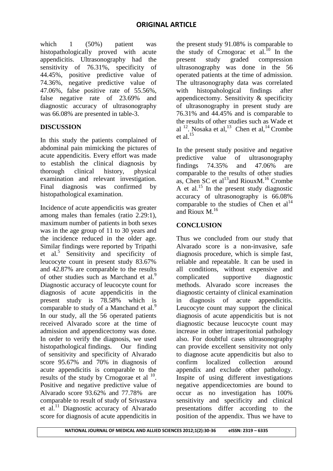which 1 (50%) patient was histopathologically proved with acute appendicitis. Ultrasonography had the sensitivity of 76.31%, specificity of 44.45%, positive predictive value of 74.36%, negative predictive value of 47.06%, false positive rate of 55.56%, false negative rate of 23.69% and diagnostic accuracy of ultrasonography was 66.08% are presented in table-3.

# **DISCUSSION**

In this study the patients complained of abdominal pain mimicking the pictures of acute appendicitis. Every effort was made to establish the clinical diagnosis by thorough clinical history, physical examination and relevant investigation. Final diagnosis was confirmed by histopathological examination.

Incidence of acute appendicitis was greater among males than females (ratio 2.29:1), maximum number of patients in both sexes was in the age group of 11 to 30 years and the incidence reduced in the older age. Similar findings were reported by Tripathi et al.<sup>5</sup> Sensitivity and specificity of leucocyte count in present study 83.67% and 42.87% are comparable to the results of other studies such as Marchand et al.<sup>9</sup> Diagnostic accuracy of leucocyte count for diagnosis of acute appendicitis in the present study is 78.58% which is comparable to study of a Manchand et al.<sup>9</sup> In our study, all the 56 operated patients received Alvarado score at the time of admission and appendicectomy was done. In order to verify the diagnosis, we used histopathological findings. Our finding of sensitivity and specificity of Alvarado score 95.67% and 70% in diagnosis of acute appendicitis is comparable to the results of the study by Crnogorae et al  $^{10}$ . Positive and negative predictive value of Alvarado score 93.62% and 77.78% are comparable to result of study of Srivastava et al.<sup>11</sup> Diagnostic accuracy of Alvarado score for diagnosis of acute appendicitis in

the present study 91.08% is comparable to the study of Crnogorac et al.<sup>10</sup> In the present study graded compression present study graded compression ultrasonography was done in the 56 operated patients at the time of admission. The ultrasonography data was correlated with histopahological findings after appendicectomy. Sensitivity & specificity of ultrasonography in present study are 76.31% and 44.45% and is comparable to the results of other studies such as Wade et al  $12$ . Nosaka et al,  $13$  Chen et al,  $14$  Crombe et al.<sup>15</sup>

In the present study positive and negative predictive value of ultrasonography findings 74.35% and 47.06% are comparable to the results of other studies as, Chen SC et al<sup>13</sup> and Rioux M.<sup>16</sup> Crombe A et al.<sup>15</sup> In the present study diagnostic accuracy of ultrasonography is 66.08% comparable to the studies of Chen et  $al<sup>14</sup>$ and  $\overline{\text{Rioux}}$  M.<sup>16</sup>

# **CONCLUSION**

Thus we concluded from our study that Alvarado score is a non-invasive, safe diagnosis procedure, which is simple fast, reliable and repeatable. It can be used in all conditions, without expensive and complicated supportive diagnostic methods. Alvarado score increases the diagnostic certainty of clinical examination in diagnosis of acute appendicitis. Leucocyte count may support the clinical diagnosis of acute appendicitis but is not diagnostic because leucocyte count may increase in other intraperitonial pathology also. For doubtful cases ultrasonography can provide excellent sensitivity not only to diagnose acute appendicitis but also to confirm localized collection around appendix and exclude other pathology. Inspite of using different investigations negative appendicectomies are bound to occur as no investigation has 100% sensitivity and specificity and clinical presentations differ according to the position of the appendix. Thus we have to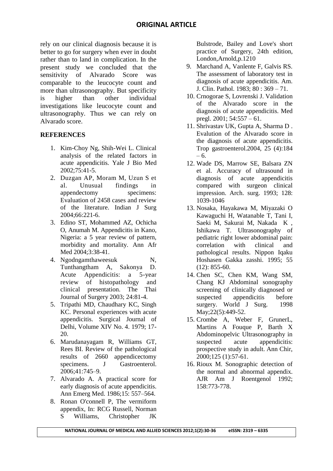rely on our clinical diagnosis because it is better to go for surgery when ever in doubt rather than to land in complication. In the present study we concluded that the sensitivity of Alvarado Score was comparable to the leucocyte count and more than ultrasonography. But specificity is higher than other individual investigations like leucocyte count and ultrasonography. Thus we can rely on Alvarado score.

#### **REFERENCES**

- 1. Kim-Choy Ng, Shih-Wei L. Clinical analysis of the related factors in acute appendicitis. Yale J Bio Med 2002;75:41-5.
- 2. Duzgan AP, Moram M, Uzun S et al. Unusual findings in appendectomy specimens: Evaluation of 2458 cases and review of the literature. Indian J Surg 2004;66:221-6.
- 3. Edino ST, Mohammed AZ, Ochicha O, Anumah M. Appendicitis in Kano, Nigeria: a 5 year review of pattern, morbidity and mortality. Ann Afr Med 2004;3:38-41.
- 4. Ngodngamthaweesuk N, Tunthangtham A, Sakonya D. Acute Appendicitis: a 5-year review of histopathology and clinical presentation. The Thai Journal of Surgery 2003; 24:81-4.
- 5. Tripathi MD, Chaudhary KC, Singh KC. Personal experiences with acute appendicitis. Surgical Journal of Delhi, Volume XIV No. 4. 1979; 17- 20.
- 6. Marudanayagam R, Williams GT, Rees BI. Review of the pathological results of 2660 appendicectomy specimens. J Gastroenterol. 2006;41:745–9.
- 7. Alvarado A. A practical score for early diagnosis of acute appendicitis. Ann Emerg Med. 1986;15: 557–564.
- 8. Ronan O'connell P, The vermiform appendix, In: RCG Russell, Norman S Williams, Christopher JK

Bulstrode, Bailey and Love's short practice of Surgery, 24th edition, London,Arnold,p.1210

- 9. Marchand A, Vanlente F, Galvis RS. The assessment of laboratory test in diagnosis of acute appendicitis. Am. J. Clin. Pathol. 1983; 80 : 369 – 71.
- 10. Crnogorae S, Lovrenski J. Validation of the Alvarado score in the diagnosis of acute appendicitis. Med pregl. 2001; 54:557 – 61.
- 11. Shrivastav UK, Gupta A, Sharma D . Evalution of the Alvarado score in the diagnosis of acute appendicitis. Trop gastroenterol.2004, 25 (4):184 – 6.
- 12. Wade DS, Marrow SE, Balsara ZN et al. Accuracy of ultrasound in diagnosis of acute appendicitis compared with surgeon clinical impression. Arch. surg. 1993; 128: 1039-1046
- 13. Nosaka, Hayakawa M, Miyazaki O Kawaguchi H, Watanable T, Tani I, Saeki M, Sakurai M, Nakada K , Ishikawa T. Ultrasonography of pediatric right lower abdominal pain: correlation with clinical and pathological results. Nippon Iqaku Hoshasen Gakka zasshi. 1995; 55  $(12): 855-60.$
- 14. Chen SC, Chen KM, Wang SM, Chang KJ Abdominal sonography screening of clinically diagnosed or suspected appendicitis before surgery. [World J Surg.](http://www.ncbi.nlm.nih.gov/pubmed/9564286) 1998 May; 22(5): 449-52.
- 15. Crombe A, Weber F, GrunerL, Martins A Fouque P, Barth X Abdominopelvic Ultrasonography in suspected acute appendicitis: prospective study in adult. Ann Chir, 2000;125 (1):57-61.
- 16. Rioux M. Sonographic detection of the normal and abnormal appendix. AJR Am J Roentgenol 1992; 158:773-778.